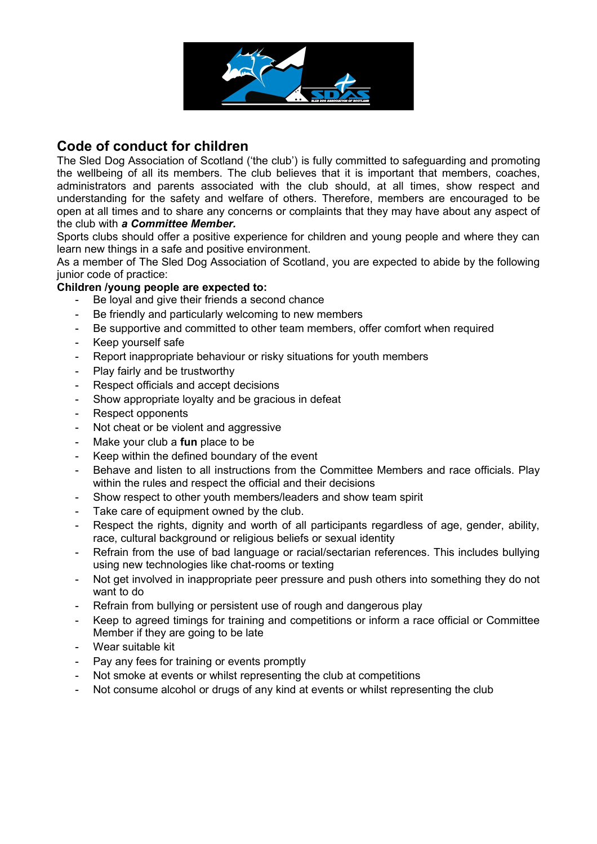

## **Code of conduct for children**

The Sled Dog Association of Scotland ('the club') is fully committed to safeguarding and promoting the wellbeing of all its members. The club believes that it is important that members, coaches, administrators and parents associated with the club should, at all times, show respect and understanding for the safety and welfare of others. Therefore, members are encouraged to be open at all times and to share any concerns or complaints that they may have about any aspect of the club with *a Committee Member.*

Sports clubs should offer a positive experience for children and young people and where they can learn new things in a safe and positive environment.

As a member of The Sled Dog Association of Scotland, you are expected to abide by the following junior code of practice:

## **Children /young people are expected to:**

- Be loyal and give their friends a second chance
- Be friendly and particularly welcoming to new members
- Be supportive and committed to other team members, offer comfort when required
- Keep yourself safe
- Report inappropriate behaviour or risky situations for youth members
- Play fairly and be trustworthy
- Respect officials and accept decisions
- Show appropriate loyalty and be gracious in defeat
- Respect opponents
- Not cheat or be violent and aggressive
- Make your club a **fun** place to be
- Keep within the defined boundary of the event
- Behave and listen to all instructions from the Committee Members and race officials. Play within the rules and respect the official and their decisions
- Show respect to other youth members/leaders and show team spirit
- Take care of equipment owned by the club.
- Respect the rights, dignity and worth of all participants regardless of age, gender, ability, race, cultural background or religious beliefs or sexual identity
- Refrain from the use of bad language or racial/sectarian references. This includes bullying using new technologies like chat-rooms or texting
- Not get involved in inappropriate peer pressure and push others into something they do not want to do
- Refrain from bullying or persistent use of rough and dangerous play
- Keep to agreed timings for training and competitions or inform a race official or Committee Member if they are going to be late
- Wear suitable kit
- Pay any fees for training or events promptly
- Not smoke at events or whilst representing the club at competitions
- Not consume alcohol or drugs of any kind at events or whilst representing the club